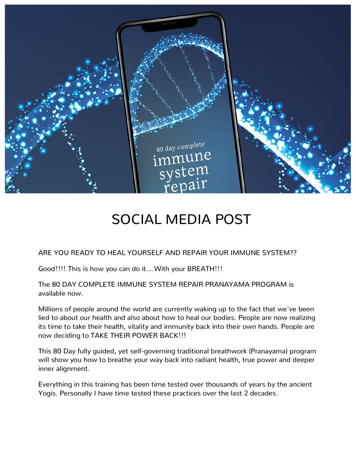

## SOCIAL MEDIA POST

ARE YOU READY TO HEAL YOURSELF AND REPAIR YOUR IMMUNE SYSTEM??

Good!!!! This is how you can do it….With your BREATH!!!

The 80 DAY COMPLETE IMMUNE SYSTEM REPAIR PRANAYAMA PROGRAM is available now.

Millions of people around the world are currently waking up to the fact that we've been lied to about our health and also about how to heal our bodies. People are now realizing its time to take their health, vitality and immunity back into their own hands. People are now deciding to TAKE THEIR POWER BACK!!!

This 80 Day fully guided, yet self-governing traditional breathwork (Pranayama) program will show you how to breathe your way back into radiant health, true power and deeper inner alignment.

Everything in this training has been time tested over thousands of years by the ancient Yogis. Personally I have time tested these practices over the last 2 decades.